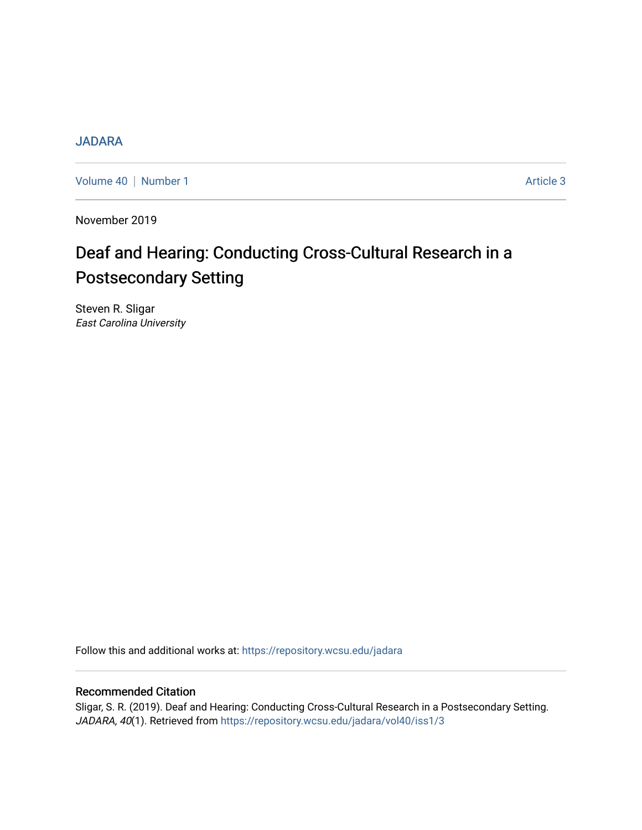#### [JADARA](https://repository.wcsu.edu/jadara)

[Volume 40](https://repository.wcsu.edu/jadara/vol40) | [Number 1](https://repository.wcsu.edu/jadara/vol40/iss1) Article 3

November 2019

# Deaf and Hearing: Conducting Cross-Cultural Research in a Postsecondary Setting

Steven R. Sligar East Carolina University

Follow this and additional works at: [https://repository.wcsu.edu/jadara](https://repository.wcsu.edu/jadara?utm_source=repository.wcsu.edu%2Fjadara%2Fvol40%2Fiss1%2F3&utm_medium=PDF&utm_campaign=PDFCoverPages)

#### Recommended Citation

Sligar, S. R. (2019). Deaf and Hearing: Conducting Cross-Cultural Research in a Postsecondary Setting. JADARA, 40(1). Retrieved from [https://repository.wcsu.edu/jadara/vol40/iss1/3](https://repository.wcsu.edu/jadara/vol40/iss1/3?utm_source=repository.wcsu.edu%2Fjadara%2Fvol40%2Fiss1%2F3&utm_medium=PDF&utm_campaign=PDFCoverPages)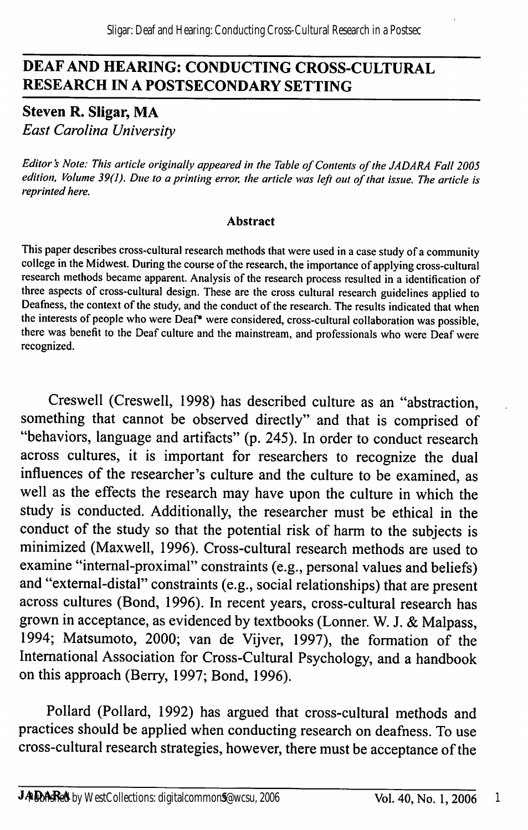### DEAF AND HEARING; CONDUCTING CROSS-CULTURAL RESEARCH IN A POSTSECONDARY SETTING

Steven R. Sligar, MA East Carolina University

Editor's Note: This article originally appeared in the Table of Contents of the JADARA Fall 2005 edition. Volume 39(1). Due to a printing error, the article was left out of that issue. The article is reprinted here.

#### Abstract

This paper describes cross-cultural research methods that were used in a case study of a community college in the Midwest. During the course of the research, the importance of applying cross-cultural research methods became apparent. Analysis of the research process resulted in a identification of three aspects of cross-cultural design. These are the cross cultural research guidelines applied to Deafness, the context of the study, and the conduct of the research. The results indicated that when the interests of people who were Deaf\* were considered, cross-cultural collaboration was possible, there was benefit to the Deaf culture and the mainstream, and professionals who were Deaf were recognized.

Creswell (Creswell, 1998) has described culture as an "abstraction, something that cannot be observed directly" and that is comprised of "behaviors, language and artifacts" (p. 245). In order to conduct research across cultures, it is important for researchers to recognize the dual influences of the researcher's culture and the culture to be examined, as well as the effects the research may have upon the culture in which the study is conducted. Additionally, the researcher must be ethical in the conduct of the study so that the potential risk of harm to the subjects is minimized (Maxwell, 1996). Cross-cultural research methods are used to examine "internal-proximal" constraints (e.g., personal values and beliefs) and "extemal-distal" constraints (e.g., social relationships) that are present across cultures (Bond, 1996). In recent years, cross-cultural research has grown in acceptance, as evidenced by textbooks (Lonner. W. J. & Malpass, 1994; Matsumoto, 2000; van de Vijver, 1997), the formation of the International Association for Cross-Cultural Psychology, and a handbook on this approach (Berry, 1997; Bond, 1996).

Pollard (Pollard, 1992) has argued that cross-cultural methods and practices should be applied when conducting research on deafness. To use cross-cultural research strategies, however, there must be acceptance of the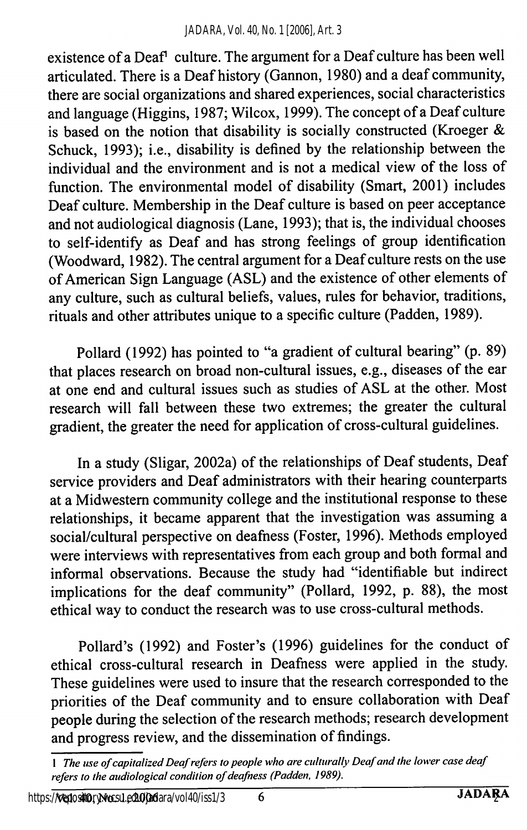existence of a Deaf<sup>1</sup> culture. The argument for a Deaf culture has been well articulated. There is a Deaf history (Gannon, 1980) and a deaf community, there are social organizations and shared experiences, social characteristics and language (Higgins, 1987; Wilcox, 1999). The concept of a Deaf culture is based on the notion that disability is socially constructed (Kroeger & Schuck, 1993); i.e., disability is defined by the relationship between the individual and the environment and is not a medical view of the loss of function. The environmental model of disability (Smart, 2001) includes Deaf culture. Membership in the Deaf culture is based on peer acceptance and not audiological diagnosis (Lane, 1993); that is, the individual chooses to self-identify as Deaf and has strong feelings of group identification (Woodward, 1982). The central argument for a Deaf culture rests on the use of American Sign Language (ASL) and the existence of other elements of any culture, such as cultural beliefs, values, rules for behavior, traditions, rituals and other attributes unique to a specific culture (Padden, 1989).

Pollard (1992) has pointed to "a gradient of cultural bearing" (p. 89) that places research on broad non-cultural issues, e.g., diseases of the ear at one end and cultural issues such as studies of ASL at the other. Most research will fall between these two extremes; the greater the cultural gradient, the greater the need for application of cross-cultural guidelines.

In a study (Sligar, 2002a) of the relationships of Deaf students. Deaf service providers and Deaf administrators with their hearing counterparts at a Midwestern community college and the institutional response to these relationships, it became apparent that the investigation was assuming a social/cultural perspective on deafness (Foster, 1996). Methods employed were interviews with representatives from each group and both formal and informal observations. Because the study had "identifiable but indirect implications for the deaf community" (Pollard, 1992, p. 88), the most ethical way to conduct the research was to use cross-cultural methods.

Pollard's (1992) and Foster's (1996) guidelines for the conduct of ethical cross-cultural research in Deafness were applied in the study. These guidelines were used to insure that the research corresponded to the priorities of the Deaf community and to ensure collaboration with Deaf people during the selection of the research methods; research development and progress review, and the dissemination of findings.

<sup>1</sup> The use of capitalized Deaf refers to people who are culturally Deaf and the lower case deaf refers to the audiological condition of deafness (Padden, 1989).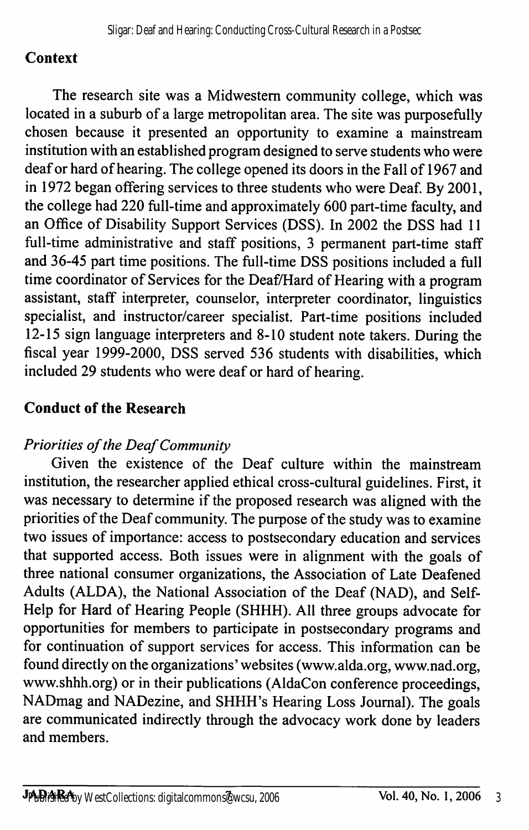## **Context**

The research site was a Midwestern community college, which was located in a suburb of a large metropolitan area. The site was purposefully chosen because it presented an opportunity to examine a mainstream institution with an established program designed to serve students who were deaf or hard of hearing. The college opened its doors in the Fall of 1967 and in 1972 began offering services to three students who were Deaf. By 2001, the college had 220 full-time and approximately 600 part-time faculty, and an Office of Disability Support Services (DSS). In 2002 the DSS had 11 full-time administrative and staff positions, 3 permanent part-time staff and 36-45 part time positions. The full-time DSS positions included a full time coordinator of Services for the Deaf/Hard of Hearing with a program assistant, staff interpreter, counselor, interpreter coordinator, linguistics specialist, and instructor/career specialist. Part-time positions included 12-15 sign language interpreters and 8-10 student note takers. During the fiscal year 1999-2000, DSS served 536 students with disabilities, which included 29 students who were deaf or hard of hearing.

## Conduct of the Research

#### Priorities of the Deaf Community

Given the existence of the Deaf culture within the mainstream institution, the researcher applied ethical cross-cultural guidelines. First, it was necessary to determine if the proposed research was aligned with the priorities of the Deaf community. The purpose of the study was to examine two issues of importance: access to postsecondary education and services that supported access. Both issues were in alignment with the goals of three national consumer organizations, the Association of Late Deafened Adults (ALDA), the National Association of the Deaf (NAD), and Self-Help for Hard of Hearing People (SHHH). All three groups advocate for opportunities for members to participate in postsecondary programs and for continuation of support services for access. This information can be found directly on the organizations' websites (www.alda.org, www.nad.org, www.shhh.org) or in their publications (AldaCon conference proceedings, NADmag and NADezine, and SHHH's Hearing Loss Journal). The goals are communicated indirectly through the advocacy work done by leaders and members.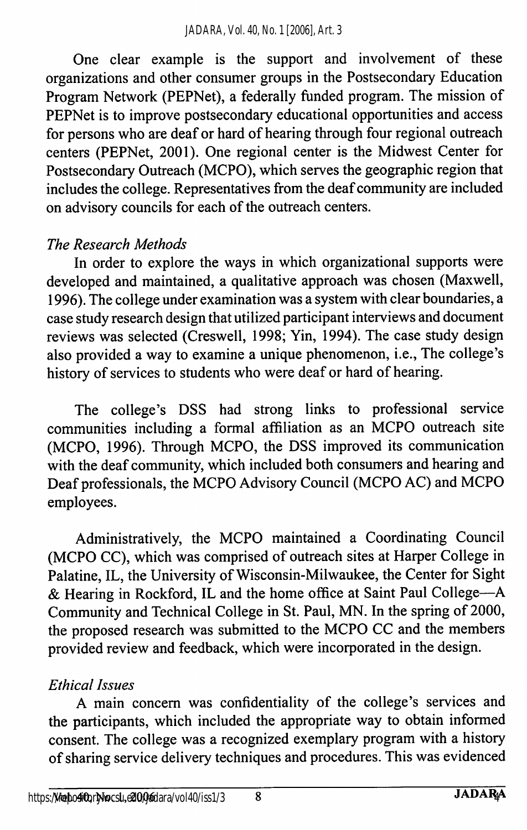One clear example is the support and involvement of these organizations and other consumer groups in the Postsecondary Education Program Network (PEPNet), a federally funded program. The mission of PEPNet is to improve postsecondary educational opportunities and access for persons who are deaf or hard of hearing through four regional outreach centers (PEPNet, 2001). One regional center is the Midwest Center for Postsecondary Outreach (MCPO), which serves the geographic region that includes the college. Representatives from the deaf community are included on advisory councils for each of the outreach centers.

### The Research Methods

In order to explore the ways in which organizational supports were developed and maintained, a qualitative approach was chosen (Maxwell, 1996). The college under examination was a system with clear boundaries, a case study research design that utilized participant interviews and document reviews was selected (Creswell, 1998; Yin, 1994). The case study design also provided a way to examine a unique phenomenon, i.e.. The college's history of services to students who were deaf or hard of hearing.

The college's DSS had strong links to professional service communities including a formal affiliation as an MCPO outreach site (MCPO, 1996). Through MCPO, the DSS improved its communication with the deaf community, which included both consumers and hearing and Deaf professionals, the MCPO Advisory Council (MCPO AC) and MCPO employees.

Administratively, the MCPO maintained a Coordinating Council (MCPO CC), which was comprised of outreach sites at Harper College in Palatine, IL, the University of Wisconsin-Milwaukee, the Center for Sight & Hearing in Rockford, IL and the home office at Saint Paul College—A Community and Technical College in St. Paul, MN. In the spring of 2000, the proposed research was submitted to the MCPO CC and the members provided review and feedback, which were incorporated in the design.

#### Ethical Issues

A main concern was confidentiality of the college's services and the participants, which included the appropriate way to obtain informed consent. The college was a recognized exemplary program with a history of sharing service delivery techniques and procedures. This was evidenced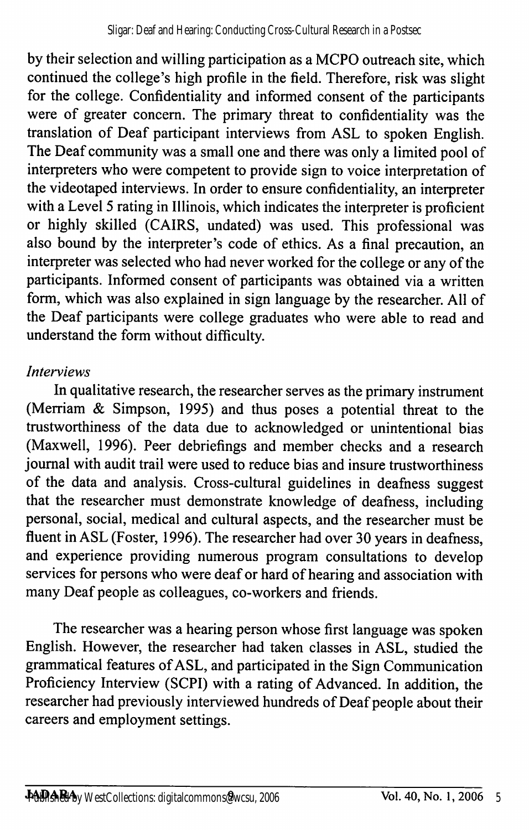by their selection and willing participation as a MCPO outreach site, which continued the college's high profile in the field. Therefore, risk was slight for the college. Confidentiality and informed consent of the participants were of greater concern. The primary threat to confidentiality was the translation of Deaf participant interviews from ASL to spoken English. The Deaf community was a small one and there was only a limited pool of interpreters who were competent to provide sign to voice interpretation of the videotaped interviews. In order to ensure confidentiality, an interpreter with a Level 5 rating in Illinois, which indicates the interpreter is proficient or highly skilled (CAIRS, undated) was used. This professional was also bound by the interpreter's code of ethics. As a final precaution, an interpreter was selected who had never worked for the college or any of the participants. Informed consent of participants was obtained via a written form, which was also explained in sign language by the researcher. All of the Deaf participants were college graduates who were able to read and understand the form without difficulty.

#### Interviews

In qualitative research, the researcher serves as the primary instrument (Merriam & Simpson, 1995) and thus poses a potential threat to the trustworthiness of the data due to acknowledged or unintentional bias (Maxwell, 1996). Peer debriefings and member checks and a research journal with audit trail were used to reduce bias and insure trustworthiness of the data and analysis. Cross-cultural guidelines in deafness suggest that the researcher must demonstrate knowledge of deafness, including personal, social, medical and cultural aspects, and the researcher must be fluent in ASL (Foster, 1996). The researcher had over 30 years in deafness, and experience providing numerous program consultations to develop services for persons who were deaf or hard of hearing and association with many Deaf people as colleagues, co-workers and friends.

The researcher was a hearing person whose first language was spoken English. However, the researcher had taken classes in ASL, studied the grammatical features of ASL, and participated in the Sign Communication Proficiency Interview (SCPI) with a rating of Advanced. In addition, the researcher had previously interviewed hundreds of Deaf people about their careers and employment settings.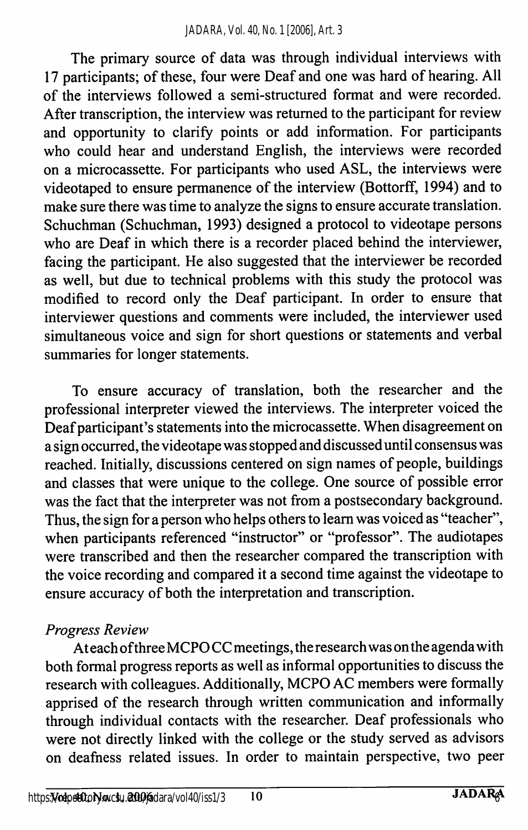The primary source of data was through individual interviews with 17 participants; of these, four were Deaf and one was hard of hearing. All of the interviews followed a semi-structured format and were recorded. After transcription, the interview was returned to the participant for review and opportunity to clarify points or add information. For participants who could hear and understand English, the interviews were recorded on a microcassette. For participants who used ASL, the interviews were videotaped to ensure permanence of the interview (Bottorff, 1994) and to make sure there was time to analyze the signs to ensure accurate translation. Schuchman (Schuchman, 1993) designed a protocol to videotape persons who are Deaf in which there is a recorder placed behind the interviewer, facing the participant. He also suggested that the interviewer be recorded as well, but due to technical problems with this study the protocol was modified to record only the Deaf participant. In order to ensure that interviewer questions and comments were included, the interviewer used simultaneous voice and sign for short questions or statements and verbal summaries for longer statements.

To ensure accuracy of translation, both the researcher and the professional interpreter viewed the interviews. The interpreter voiced the Deaf participant's statements into the microcassette. When disagreement on a sign occurred, the videotape was stopped and discussed until consensus was reached. Initially, discussions centered on sign names of people, buildings and classes that were unique to the college. One source of possible error was the fact that the interpreter was not from a postsecondary background. Thus, the sign for a person who helps others to leam was voiced as "teacher", when participants referenced "instructor" or "professor". The audiotapes were transcribed and then the researcher compared the transcription with the voice recording and compared it a second time against the videotape to ensure accuracy of both the interpretation and transcription.

#### Progress Review

At each of three MCPO CC meetings, the research was on the agenda with both formal progress reports as well as informal opportunities to discuss the research with colleagues. Additionally, MCPO AC members were formally apprised of the research through written communication and informally through individual contacts with the researcher. Deaf professionals who were not directly linked with the college or the study served as advisors on deafness related issues. In order to maintain perspective, two peer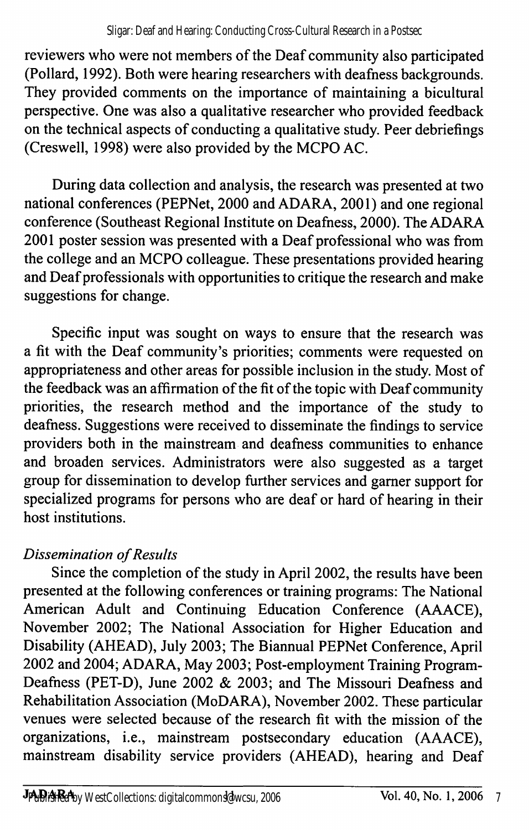reviewers who were not members of the Deaf community also participated (Pollard, 1992). Both were hearing researchers with deafness backgrounds. They provided comments on the importance of maintaining a bicultural perspective. One was also a qualitative researcher who provided feedback on the technical aspects of conducting a qualitative study. Peer debriefings (Creswell, 1998) were also provided by the MCPO AC.

During data collection and analysis, the research was presented at two national conferences (PEPNet, 2000 and ADARA, 2001) and one regional conference (Southeast Regional Institute on Deafness, 2000). The ADARA 2001 poster session was presented with a Deaf professional who was from the college and an MCPO colleague. These presentations provided hearing and Deaf professionals with opportunities to critique the research and make suggestions for change.

Specific input was sought on ways to ensure that the research was a fit with the Deaf community's priorities; comments were requested on appropriateness and other areas for possible inclusion in the study. Most of the feedback was an affirmation of the fit of the topic with Deaf community priorities, the research method and the importance of the study to deafness. Suggestions were received to disseminate the findings to service providers both in the mainstream and deafness communities to enhance and broaden services. Administrators were also suggested as a target group for dissemination to develop further services and gamer support for specialized programs for persons who are deaf or hard of hearing in their host institutions.

# Dissemination of Results

Since the completion of the study in April 2002, the results have been presented at the following conferences or training programs: The National American Adult and Continuing Education Conference (AAACE), November 2002; The National Association for Higher Education and Disability (AHEAD), July 2003; The Biannual PEPNet Conference, April 2002 and 2004; ADARA, May 2003; Post-employment Training Program-Deafness (PET-D), June 2002 & 2003; and The Missouri Deafness and Rehabilitation Association (MoDARA), November 2002. These particular venues were selected because of the research fit with the mission of the organizations, i.e., mainstream postsecondary education (AAACE), mainstream disability service providers (AHEAD), hearing and Deaf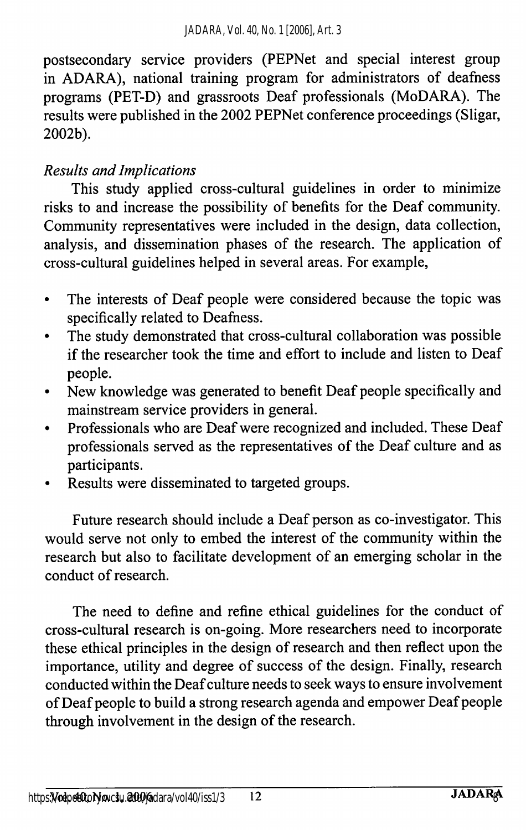postsecondary service providers (PEPNet and special interest group in ADARA), national training program for administrators of deafness programs (PET-D) and grassroots Deaf professionals (MoDARA). The results were published in the 2002 PEPNet conference proceedings (Sligar, 2002b).

### Results and Implications

This study applied cross-cultural guidelines in order to minimize risks to and increase the possibility of benefits for the Deaf community. Community representatives were included in the design, data collection, analysis, and dissemination phases of the research. The application of cross-cultural guidelines helped in several areas. For example.

- The interests of Deaf people were considered because the topic was  $\bullet$ specifically related to Deafness.
- The study demonstrated that cross-cultural collaboration was possible  $\bullet$ if the researcher took the time and effort to include and listen to Deaf people.
- New knowledge was generated to benefit Deaf people specifically and  $\bullet$ mainstream service providers in general.
- Professionals who are Deaf were recognized and included. These Deaf  $\bullet$ professionals served as the representatives of the Deaf culture and as participants.
- Results were disseminated to targeted groups.

Future research should include a Deaf person as co-investigator. This would serve not only to embed the interest of the community within the research but also to facilitate development of an emerging scholar in the conduct of research.

The need to define and refine ethical guidelines for the conduct of cross-cultural research is on-going. More researchers need to incorporate these ethical principles in the design of research and then reflect upon the importance, utility and degree of success of the design. Finally, research conducted within the Deaf culture needs to seek ways to ensure involvement of Deaf people to build a strong research agenda and empower Deaf people through involvement in the design of the research.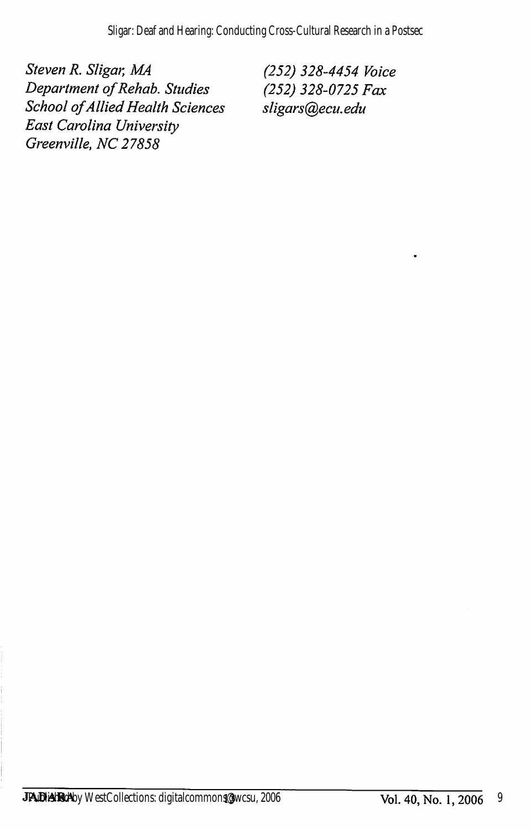Steven R. Sligar, MA (252) 328-4454 Voice<br>Department of Rehab. Studies (252) 328-0725 Fax Department of Rehab. Studies (252) 328-0725 F<br>School of Allied Health Sciences sligars@ecu.edu School of Allied Health Sciences East Carolina University Greenville, NC 27858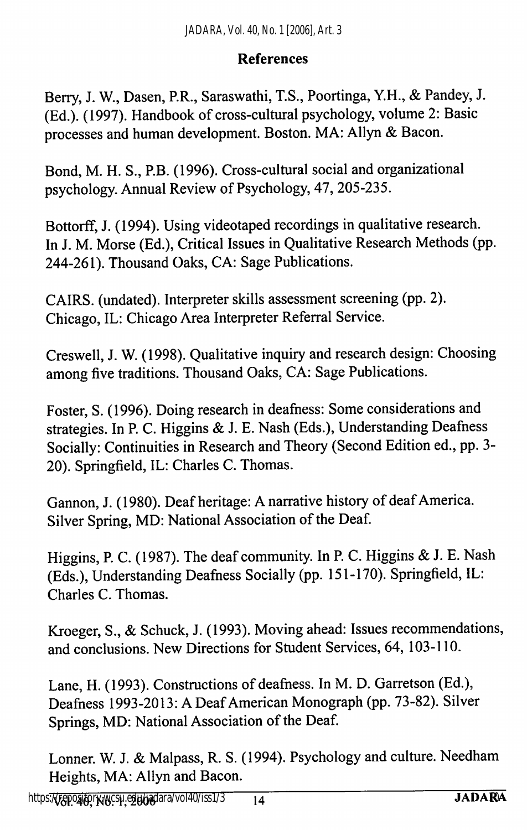#### References

Berry, J. W., Dasen, RR., Saraswathi, T.S., Poortinga, Y.H., & Pandey, J. (Ed.). (1997). Handbook of cross-cultural psychology, volume 2: Basic processes and human development. Boston. MA: Allyn & Bacon.

Bond, M. H. S., P.B. (1996). Cross-cultural social and organizational psychology. Annual Review of Psychology, 47, 205-235.

Bottorff, J. (1994). Using videotaped recordings in qualitative research. In J. M. Morse (Ed.), Critical Issues in Qualitative Research Methods (pp. 244-261). Thousand Oaks, CA: Sage Publications.

CAIRS. (undated). Interpreter skills assessment screening (pp. 2). Chicago, IL: Chicago Area Interpreter Referral Service.

Creswell, J. W. (1998). Qualitative inquiry and research design: Choosing among five traditions. Thousand Oaks, CA: Sage Publications.

Foster, S. (1996). Doing research in deafness: Some considerations and strategies. In P. C. Higgins & J. E. Nash (Eds.), Understanding Deafness Socially: Continuities in Research and Theory (Second Edition ed., pp. 3- 20). Springfield, IL: Charles C. Thomas.

Gannon, J. (1980). Deaf heritage: A narrative history of deaf America. Silver Spring, MD: National Association of the Deaf.

Higgins, P. C. (1987). The deaf community. In P. C. Higgins & J. E. Nash (Eds.), Understanding Deafness Socially (pp. 151-170). Springfield, IL: Charles C. Thomas.

Kroeger, S., & Schuck, J. (1993). Moving ahead: Issues recommendations, and conclusions. New Directions for Student Services, 64, 103-110.

Lane, H. (1993). Constructions of deafhess. In M. D. Garretson (Ed.), Deafness 1993-2013: A Deaf American Monograph (pp. 73-82). Silver Springs, MD: National Association of the Deaf.

Lonner. W. J. & Malpass, R. S. (1994). Psychology and culture. Needham Heights, MA: Allyn and Bacon.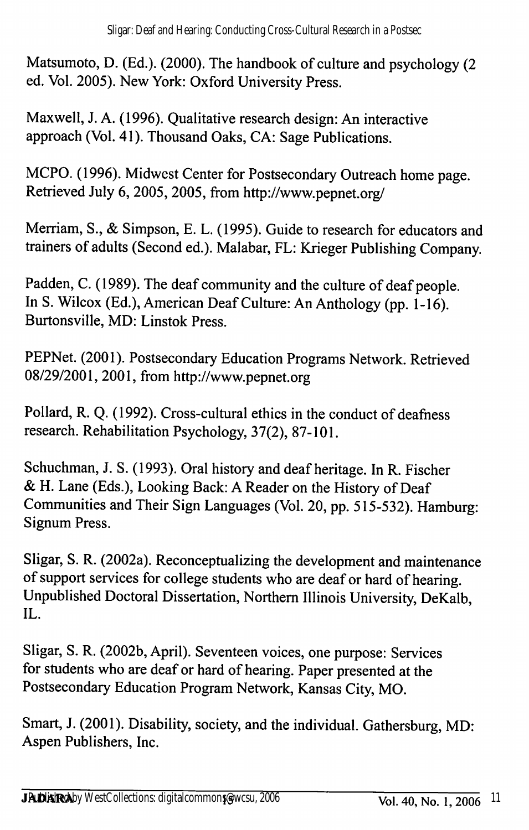Matsumoto, D. (Ed.). (2000). The handbook of culture and psychology (2 ed. Vol. 2005). New York: Oxford University Press.

Maxwell, J. A. (1996). Qualitative research design: An interactive approach (Vol. 41). Thousand Oaks, CA: Sage Publications.

MCPO. (1996). Midwest Center for Postsecondary Outreach home page. Retrieved July 6, 2005,2005, from http://www.pepnet.org/

Merriam, S., & Simpson, E. L. (1995). Guide to research for educators and trainers of adults (Second ed.). Malabar, FL: Krieger Publishing Company.

Padden, C. (1989). The deaf community and the culture of deaf people. In S. Wilcox (Ed.), American Deaf Culture: An Anthology (pp. 1-16). Burtonsville, MD: Linstok Press.

PEPNet. (2001). Postsecondary Education Programs Network. Retrieved 08/29/2001, 2001, from http://www.pepnet.org

Pollard, R. Q. (1992). Cross-cultural ethics in the conduct of deafness research. Rehabilitation Psychology, 37(2), 87-101.

Schuchman, J. S. (1993). Oral history and deaf heritage. In R. Fischer & H. Lane (Eds.), Looking Back: A Reader on the History of Deaf Communities and Their Sign Languages (Vol. 20, pp. 515-532). Hamburg: Signum Press.

Sligar, S. R. (2002a). Reconceptualizing the development and maintenance of support services for college students who are deaf or hard of hearing. Unpublished Doctoral Dissertation, Northern Illinois University, DeKalb, IL.

Sligar, S. R. (2002b, April). Seventeen voices, one purpose: Services for students who are deaf or hard of hearing. Paper presented at the Postsecondary Education Program Network, Kansas City, MO.

Smart, J. (2001). Disability, society, and the individual. Gathersburg, MD: Aspen Publishers, Inc.